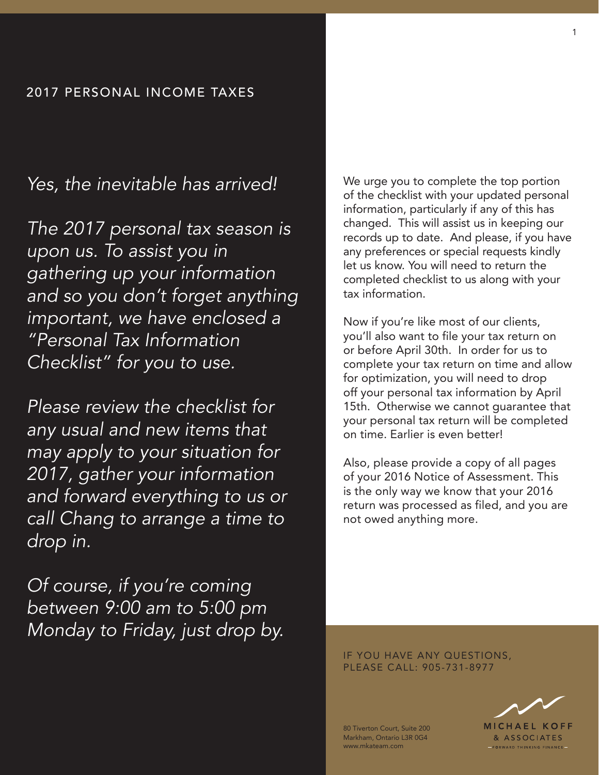## 2017 PERSONAL INCOME TAXES

## *Yes, the inevitable has arrived!*

*The 2017 personal tax season is upon us. To assist you in gathering up your information and so you don't forget anything important, we have enclosed a "Personal Tax Information Checklist" for you to use.* 

*Please review the checklist for any usual and new items that may apply to your situation for 2017, gather your information and forward everything to us or call Chang to arrange a time to drop in.*

*Of course, if you're coming between 9:00 am to 5:00 pm Monday to Friday, just drop by.* We urge you to complete the top portion of the checklist with your updated personal information, particularly if any of this has changed. This will assist us in keeping our records up to date. And please, if you have any preferences or special requests kindly let us know. You will need to return the completed checklist to us along with your tax information.

Now if you're like most of our clients, you'll also want to file your tax return on or before April 30th. In order for us to complete your tax return on time and allow for optimization, you will need to drop off your personal tax information by April 15th. Otherwise we cannot guarantee that your personal tax return will be completed on time. Earlier is even better!

Also, please provide a copy of all pages of your 2016 Notice of Assessment. This is the only way we know that your 2016 return was processed as filed, and you are not owed anything more.

IF YOU HAVE ANY QUESTIONS, PLEASE CALL: 905-731-8977

> **MICHAEL KOFF** & ASSOCIATES FORWARD THINKING FINANCE-

80 Tiverton Court, Suite 200 Markham, Ontario L3R 0G4 www.mkateam.com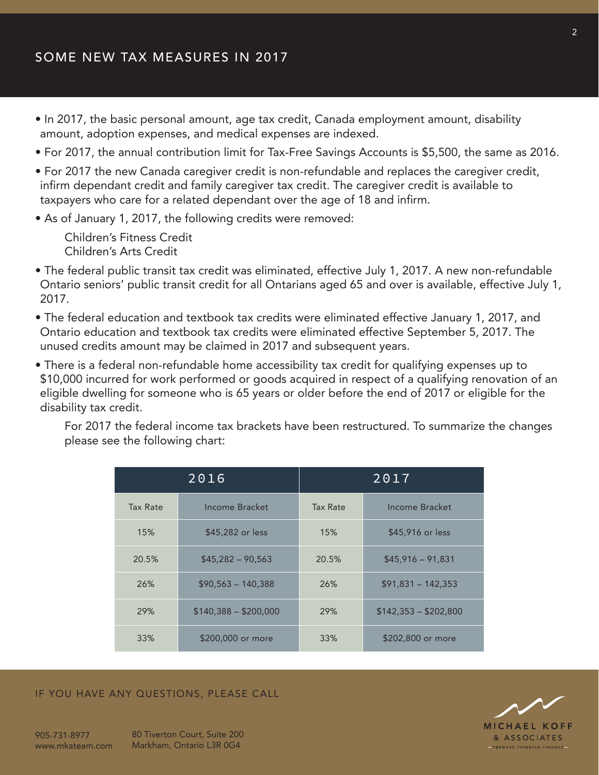- In 2017, the basic personal amount, age tax credit, Canada employment amount, disability amount, adoption expenses, and medical expenses are indexed.
- For 2017, the annual contribution limit for Tax-Free Savings Accounts is \$5,500, the same as 2016.
- For 2017 the new Canada caregiver credit is non-refundable and replaces the caregiver credit, infirm dependant credit and family caregiver tax credit. The caregiver credit is available to taxpayers who care for a related dependant over the age of 18 and infirm.
- As of January 1, 2017, the following credits were removed:

Children's Fitness Credit Children's Arts Credit

- The federal public transit tax credit was eliminated, effective July 1, 2017. A new non-refundable Ontario seniors' public transit credit for all Ontarians aged 65 and over is available, effective July 1, 2017.
- The federal education and textbook tax credits were eliminated effective January 1, 2017, and Ontario education and textbook tax credits were eliminated effective September 5, 2017. The unused credits amount may be claimed in 2017 and subsequent years.
- There is a federal non-refundable home accessibility tax credit for qualifying expenses up to \$10,000 incurred for work performed or goods acquired in respect of a qualifying renovation of an eligible dwelling for someone who is 65 years or older before the end of 2017 or eligible for the disability tax credit.

For 2017 the federal income tax brackets have been restructured. To summarize the changes please see the following chart:

| 2016     |                       | 2017     |                       |
|----------|-----------------------|----------|-----------------------|
| Tax Rate | Income Bracket        | Tax Rate | Income Bracket        |
| 15%      | \$45,282 or less      | 15%      | \$45,916 or less      |
| 20.5%    | $$45,282 - 90,563$    | 20.5%    | $$45,916 - 91,831$    |
| 26%      | $$90,563 - 140,388$   | 26%      | $$91,831 - 142,353$   |
| 29%      | $$140,388 - $200,000$ | 29%      | $$142,353 - $202,800$ |
| 33%      | \$200,000 or more     | 33%      | \$202,800 or more     |

## IF YOU HAVE ANY QUESTIONS, PLEASE CALL



80 Tiverton Court, Suite 200 Markham, Ontario L3R 0G4